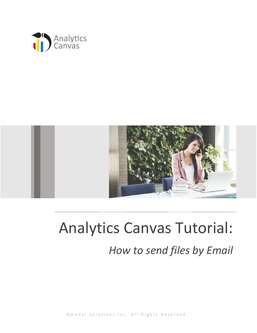



# Analytics Canvas Tutorial: *How to send files by Email*

N m o d a l S o l u t i o n s I n c . A l l Rights Reserved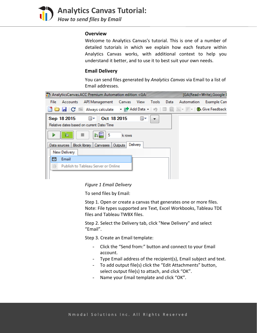![](_page_1_Picture_0.jpeg)

**Analytics Canvas Tutorial:**  *How to send files by Email*

#### **Overview**

Welcome to Analytics Canvas's tutorial. This is one of a number of detailed tutorials in which we explain how each feature within Analytics Canvas works, with additional context to help you understand it better, and to use it to best suit your own needs.

## **Email Delivery**

You can send files generated by *Analytics Canvas* via Email to a list of Email addresses.

![](_page_1_Picture_6.jpeg)

*Figure 1 Email Delivery*

To send files by Email:

Step 1. Open or create a canvas that generates one or more files. Note: File types supported are Text, Excel Workbooks, Tableau TDE files and Tableau TWBX files.

Step 2. Select the Delivery tab, click "New Delivery" and select "Email".

Step 3. Create an Email template:

- Click the "Send from:" button and connect to your Email account.
- Type Email address of the recipient(s), Email subject and text.
- To add output file(s) click the "Edit Attachments" button, select output file(s) to attach, and click "OK".
- Name your Email template and click "OK".